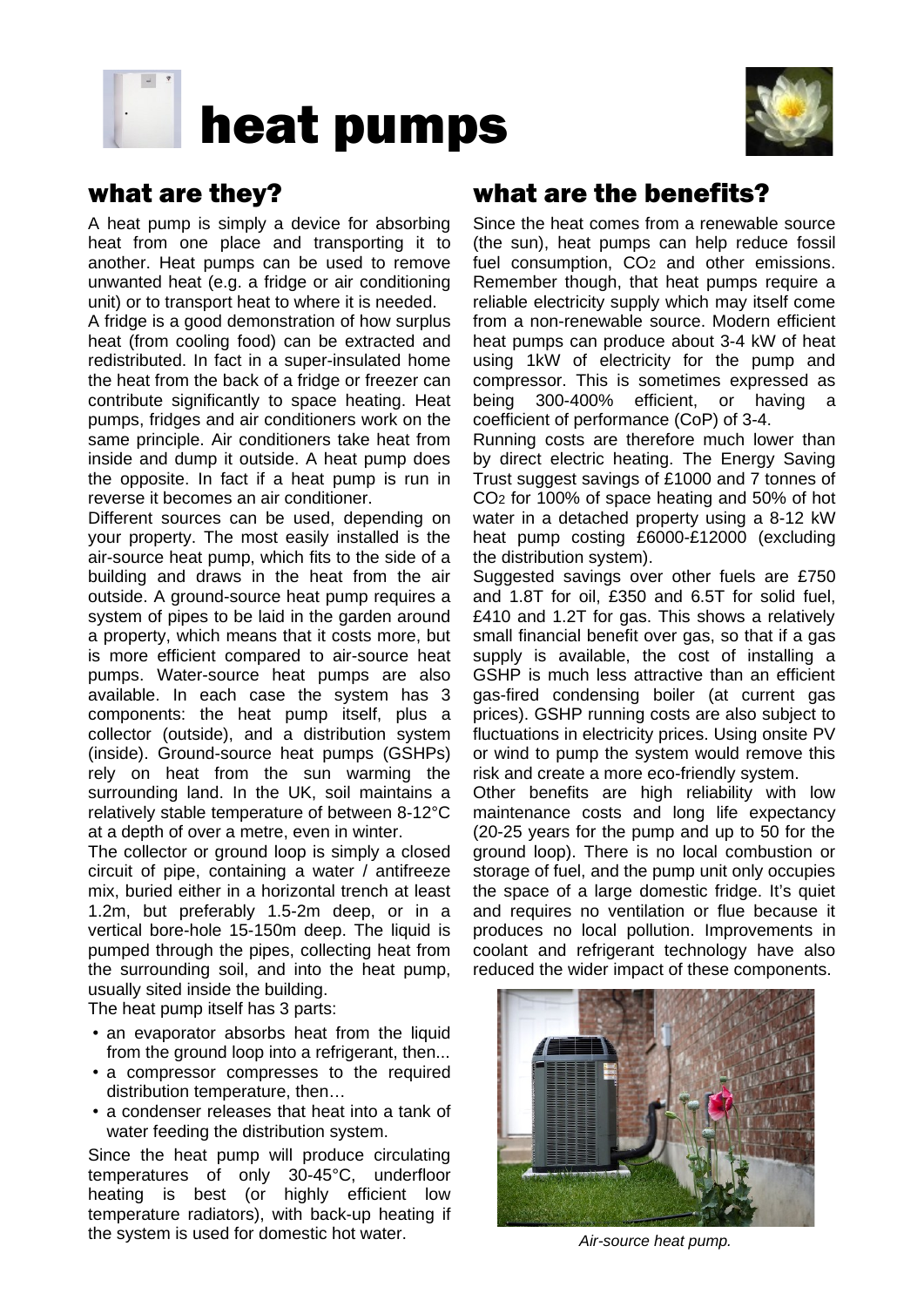



## what are they?

A heat pump is simply a device for absorbing heat from one place and transporting it to another. Heat pumps can be used to remove unwanted heat (e.g. a fridge or air conditioning unit) or to transport heat to where it is needed.

A fridge is a good demonstration of how surplus heat (from cooling food) can be extracted and redistributed. In fact in a super-insulated home the heat from the back of a fridge or freezer can contribute significantly to space heating. Heat pumps, fridges and air conditioners work on the same principle. Air conditioners take heat from inside and dump it outside. A heat pump does the opposite. In fact if a heat pump is run in reverse it becomes an air conditioner.

Different sources can be used, depending on your property. The most easily installed is the air-source heat pump, which fits to the side of a building and draws in the heat from the air outside. A ground-source heat pump requires a system of pipes to be laid in the garden around a property, which means that it costs more, but is more efficient compared to air-source heat pumps. Water-source heat pumps are also available. In each case the system has 3 components: the heat pump itself, plus a collector (outside), and a distribution system (inside). Ground-source heat pumps (GSHPs) rely on heat from the sun warming the surrounding land. In the UK, soil maintains a relatively stable temperature of between 8-12°C at a depth of over a metre, even in winter.

The collector or ground loop is simply a closed circuit of pipe, containing a water / antifreeze mix, buried either in a horizontal trench at least 1.2m, but preferably 1.5-2m deep, or in a vertical bore-hole 15-150m deep. The liquid is pumped through the pipes, collecting heat from the surrounding soil, and into the heat pump, usually sited inside the building.

The heat pump itself has 3 parts:

- an evaporator absorbs heat from the liquid from the ground loop into a refrigerant, then...
- a compressor compresses to the required distribution temperature, then…
- a condenser releases that heat into a tank of water feeding the distribution system.

Since the heat pump will produce circulating temperatures of only 30-45°C, underfloor heating is best (or highly efficient low temperature radiators), with back-up heating if the system is used for domestic hot water.

## what are the benefits?

Since the heat comes from a renewable source (the sun), heat pumps can help reduce fossil fuel consumption, CO<sub>2</sub> and other emissions. Remember though, that heat pumps require a reliable electricity supply which may itself come from a non-renewable source. Modern efficient heat pumps can produce about 3-4 kW of heat using 1kW of electricity for the pump and compressor. This is sometimes expressed as being 300-400% efficient, or having a coefficient of performance (CoP) of 3-4.

Running costs are therefore much lower than by direct electric heating. The Energy Saving Trust suggest savings of £1000 and 7 tonnes of CO2 for 100% of space heating and 50% of hot water in a detached property using a 8-12 kW heat pump costing £6000-£12000 (excluding the distribution system).

Suggested savings over other fuels are £750 and 1.8T for oil, £350 and 6.5T for solid fuel, £410 and 1.2T for gas. This shows a relatively small financial benefit over gas, so that if a gas supply is available, the cost of installing a GSHP is much less attractive than an efficient gas-fired condensing boiler (at current gas prices). GSHP running costs are also subject to fluctuations in electricity prices. Using onsite PV or wind to pump the system would remove this risk and create a more eco-friendly system.

Other benefits are high reliability with low maintenance costs and long life expectancy (20-25 years for the pump and up to 50 for the ground loop). There is no local combustion or storage of fuel, and the pump unit only occupies the space of a large domestic fridge. It's quiet and requires no ventilation or flue because it produces no local pollution. Improvements in coolant and refrigerant technology have also reduced the wider impact of these components.



*Air-source heat pump.*